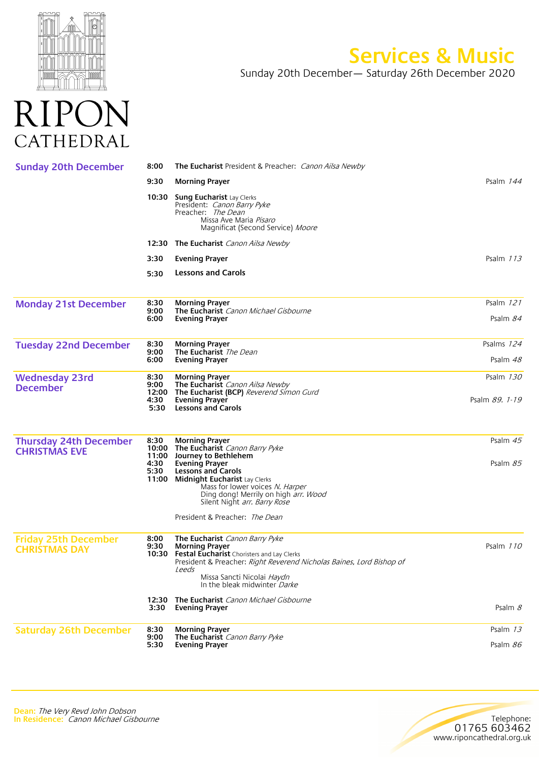

## **Services & Music**

Sunday 20th December— Saturday 26th December 2020



| <b>Sunday 20th December</b>                           | 8:00                  | <b>The Eucharist</b> President & Preacher: <i>Canon Ailsa Newby</i>                                                                                                                                                                                         |                |
|-------------------------------------------------------|-----------------------|-------------------------------------------------------------------------------------------------------------------------------------------------------------------------------------------------------------------------------------------------------------|----------------|
|                                                       | 9:30                  | <b>Morning Prayer</b>                                                                                                                                                                                                                                       | Psalm 144      |
|                                                       | 10:30                 | <b>Sung Eucharist Lay Clerks</b><br>President: Canon Barry Pyke<br>Preacher: The Dean<br>Missa Ave Maria Pisaro<br>Magnificat (Second Service) Moore                                                                                                        |                |
|                                                       |                       | <b>12:30 The Eucharist</b> Canon Ailsa Newby                                                                                                                                                                                                                |                |
|                                                       | 3:30                  | <b>Evening Prayer</b>                                                                                                                                                                                                                                       | Psalm 113      |
|                                                       | 5:30                  | <b>Lessons and Carols</b>                                                                                                                                                                                                                                   |                |
| <b>Monday 21st December</b>                           | 8:30                  | <b>Morning Prayer</b>                                                                                                                                                                                                                                       | Psalm 121      |
|                                                       | 9:00<br>6:00          | <b>The Eucharist</b> Canon Michael Gisbourne<br><b>Evening Prayer</b>                                                                                                                                                                                       | Psalm 84       |
| <b>Tuesday 22nd December</b>                          | 8:30                  | <b>Morning Prayer</b>                                                                                                                                                                                                                                       | Psalms 124     |
|                                                       | 9:00<br>6:00          | The Eucharist The Dean<br><b>Evening Prayer</b>                                                                                                                                                                                                             | Psalm 48       |
| <b>Wednesday 23rd</b><br><b>December</b>              | 8:30<br>9:00          | <b>Morning Prayer</b><br>The Eucharist Canon Ailsa Newby<br>12:00 The Eucharist (BCP) Reverend Simon Gurd                                                                                                                                                   | Psalm 130      |
|                                                       | 4:30<br>5:30          | Evening Prayer<br><b>Lessons and Carols</b>                                                                                                                                                                                                                 | Psalm 89. 1-19 |
| <b>Thursday 24th December</b><br><b>CHRISTMAS EVE</b> | 8:30                  | <b>Morning Prayer</b><br>10:00 The Eucharist Canon Barry Pyke<br>11:00 Journey to Bethlehem                                                                                                                                                                 | Psalm $45$     |
|                                                       | 4:30<br>5:30          | <b>Evening Prayer</b><br><b>Lessons and Carols</b><br>11:00 Midnight Eucharist Lay Clerks<br>Mass for lower voices N. Harper<br>Ding dong! Merrily on high <i>arr. Wood</i><br>Silent Night arr. Barry Rose                                                 | Psalm $85$     |
|                                                       |                       | President & Preacher: The Dean                                                                                                                                                                                                                              |                |
| <b>Friday 25th December</b><br><b>CHRISTMAS DAY</b>   | 8:00<br>9:30<br>10:30 | The Eucharist Canon Barry Pyke<br><b>Morning Prayer</b><br>Festal Eucharist Choristers and Lay Clerks<br>President & Preacher: Right Reverend Nicholas Baines, Lord Bishop of<br><i>Leeds</i><br>Missa Sancti Nicolai Haydn<br>In the bleak midwinter Darke | Psalm 110      |
|                                                       | 12:30<br>3:30         | The Eucharist Canon Michael Gisbourne<br><b>Evening Prayer</b>                                                                                                                                                                                              | Psalm $8$      |
| <b>Saturday 26th December</b>                         | 8:30                  | <b>Morning Prayer</b>                                                                                                                                                                                                                                       | Psalm 13       |
|                                                       | 9:00<br>5:30          | The Eucharist Canon Barry Pyke<br><b>Evening Prayer</b>                                                                                                                                                                                                     | Psalm 86       |